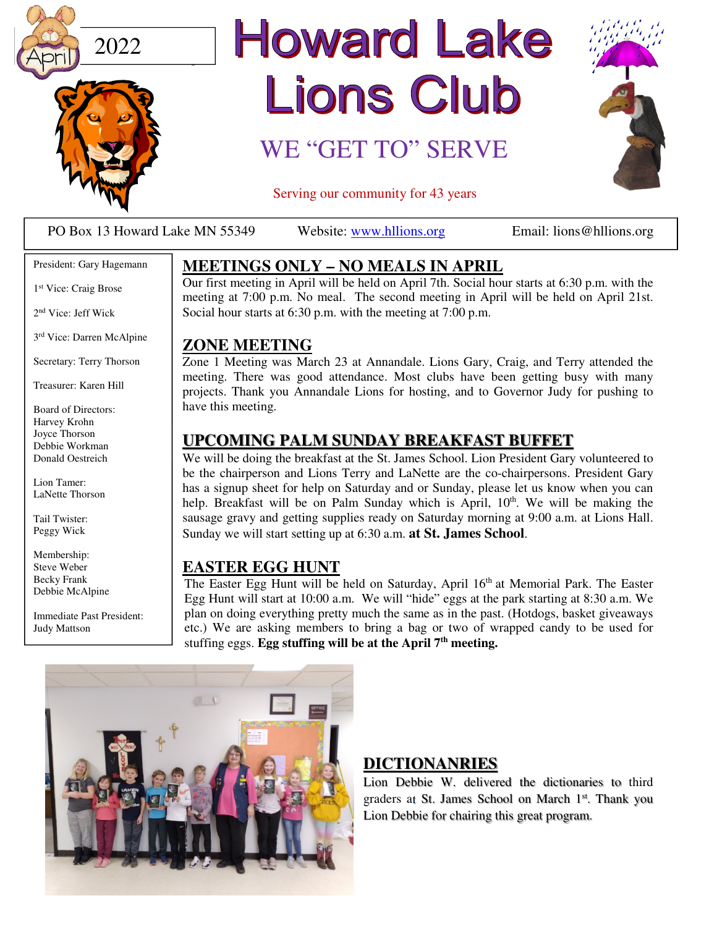



# **Howard Lake** Lions Club

### WE "GET TO" SERVE



Serving our community for 43 years

PO Box 13 Howard Lake MN 55349 Website: www.hllions.org Email: lions@hllions.org

 $\overline{\phantom{a}}$ 

#### President: Gary Hagemann

1 st Vice: Craig Brose

2 nd Vice: Jeff Wick

3 rd Vice: Darren McAlpine

Secretary: Terry Thorson

Treasurer: Karen Hill

Board of Directors: Harvey Krohn Joyce Thorson Debbie Workman Donald Oestreich

Lion Tamer: LaNette Thorson

Tail Twister: Peggy Wick

Membership: Steve Weber Becky Frank Debbie McAlpine

Immediate Past President: Judy Mattson

#### **MEETINGS ONLY – NO MEALS IN APRIL**

Our first meeting in April will be held on April 7th. Social hour starts at 6:30 p.m. with the meeting at 7:00 p.m. No meal. The second meeting in April will be held on April 21st. Social hour starts at 6:30 p.m. with the meeting at 7:00 p.m.

#### **ZONE MEETING**

Zone 1 Meeting was March 23 at Annandale. Lions Gary, Craig, and Terry attended the meeting. There was good attendance. Most clubs have been getting busy with many projects. Thank you Annandale Lions for hosting, and to Governor Judy for pushing to have this meeting.

#### **UPCOMING PALM SUNDAY BREAKFAST BUFFET**

We will be doing the breakfast at the St. James School. Lion President Gary volunteered to be the chairperson and Lions Terry and LaNette are the co-chairpersons. President Gary has a signup sheet for help on Saturday and or Sunday, please let us know when you can help. Breakfast will be on Palm Sunday which is April, 10<sup>th</sup>. We will be making the sausage gravy and getting supplies ready on Saturday morning at 9:00 a.m. at Lions Hall. Sunday we will start setting up at 6:30 a.m. **at St. James School**.

#### **EASTER EGG HUNT**

The Easter Egg Hunt will be held on Saturday, April 16<sup>th</sup> at Memorial Park. The Easter Egg Hunt will start at 10:00 a.m. We will "hide" eggs at the park starting at 8:30 a.m. We plan on doing everything pretty much the same as in the past. (Hotdogs, basket giveaways etc.) We are asking members to bring a bag or two of wrapped candy to be used for stuffing eggs. **Egg stuffing will be at the April 7th meeting.** 



#### **DICTIONANRIES**

Lion Debbie W. delivered the dictionaries to third graders at St. James School on March 1st. Thank you Lion Debbie for chairing this great program.